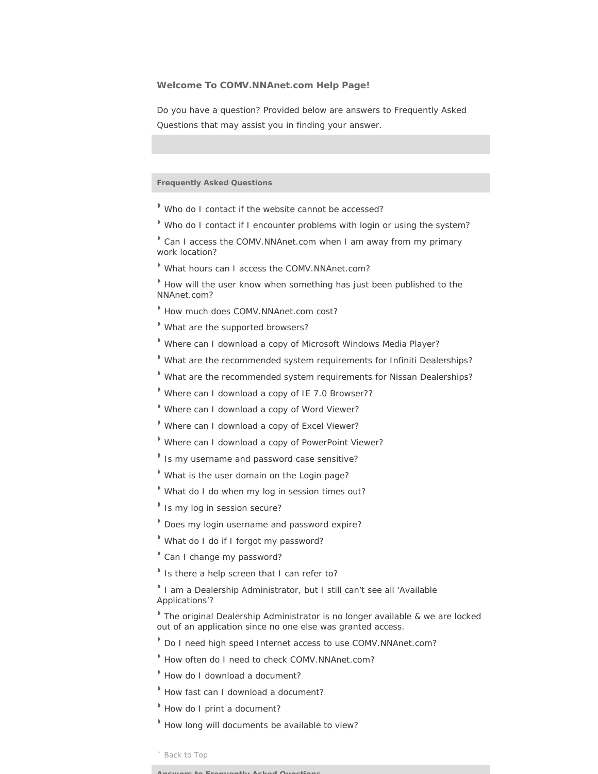# **Welcome To COMV.NNAnet.com Help Page!**

Do you have a question? Provided below are answers to Frequently Asked Questions that may assist you in finding your answer.

**Frequently Asked Questions**

- Who do I contact if the website cannot be accessed?
- Who do I contact if I encounter problems with login or using the system?

Can I access the COMV.NNAnet.com when I am away from my primary work location?

What hours can I access the COMV.NNAnet.com?

\* How will the user know when something has just been published to the NNAnet.com?

- <sup>\*</sup> How much does COMV.NNAnet.com cost?
- What are the supported browsers?
- Where can I download a copy of Microsoft Windows Media Player?
- What are the recommended system requirements for Infiniti Dealerships?
- What are the recommended system requirements for Nissan Dealerships?
- Where can I download a copy of IE 7.0 Browser??
- Where can I download a copy of Word Viewer?
- Where can I download a copy of Excel Viewer?
- Where can I download a copy of PowerPoint Viewer?
- If Is my username and password case sensitive?
- What is the user domain on the Login page?
- What do I do when my log in session times out?
- <sup>I</sup> Is my log in session secure?
- Does my login username and password expire?
- What do I do if I forgot my password?
- Can I change my password?
- $\overline{\phantom{a}}$  Is there a help screen that I can refer to?

I am a Dealership Administrator, but I still can't see all 'Available Applications'?

The original Dealership Administrator is no longer available & we are locked out of an application since no one else was granted access.

- Do I need high speed Internet access to use COMV.NNAnet.com?
- <sup>\*</sup> How often do I need to check COMV.NNAnet.com?
- How do I download a document?
- How fast can I download a document?
- How do I print a document?
- \* How long will documents be available to view?

**Answers to Frequently Asked Questions**

ˆ Back to Top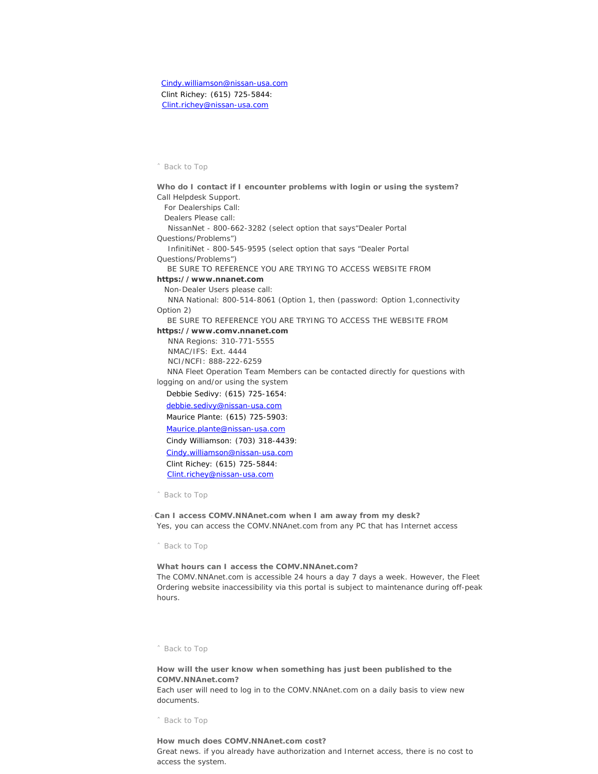Cindy.williamson@nissan-usa.com Clint Richey: (615) 725-5844: Clint.richey@nissan-usa.com

## ˆ Back to Top

**Who do I contact if I encounter problems with login or using the system?** Call Helpdesk Support. For Dealerships Call: Dealers Please call: NissanNet - 800-662-3282 (select option that says"Dealer Portal Questions/Problems") InfinitiNet - 800-545-9595 (select option that says "Dealer Portal Questions/Problems") BE SURE TO REFERENCE YOU ARE TRYING TO ACCESS WEBSITE FROM *https://www.nnanet.com* Non-Dealer Users please call: NNA National: 800-514-8061 (Option 1, then (password: Option 1,connectivity Option 2) BE SURE TO REFERENCE YOU ARE TRYING TO ACCESS THE WEBSITE FROM *https://www.comv.nnanet.com* NNA Regions: 310-771-5555 NMAC/IFS: Ext. 4444 NCI/NCFI: 888-222-6259 NNA Fleet Operation Team Members can be contacted directly for questions with logging on and/or using the system Debbie Sedivy: (615) 725-1654: debbie.sedivy@nissan-usa.com Maurice Plante: (615) 725-5903: Maurice.plante@nissan-usa.com Cindy Williamson: (703) 318-4439: Cindy.williamson@nissan-usa.com Clint Richey: (615) 725-5844: Clint.richey@nissan-usa.com

ˆ Back to Top

**e Can I access COMV.NNAnet.com when I am away from my desk?** Yes, you can access the COMV.NNAnet.com from any PC that has Internet access

ˆ Back to Top

**What hours can I access the COMV.NNAnet.com?** The COMV.NNAnet.com is accessible 24 hours a day 7 days a week. However, the Fleet Ordering website inaccessibility via this portal is subject to maintenance during off-peak hours.

#### ˆ Back to Top

**How will the user know when something has just been published to the COMV.NNAnet.com?** Each user will need to log in to the COMV.NNAnet.com on a daily basis to view new

documents.

ˆ Back to Top

#### **How much does COMV.NNAnet.com cost?**

Great news. if you already have authorization and Internet access, there is no cost to access the system.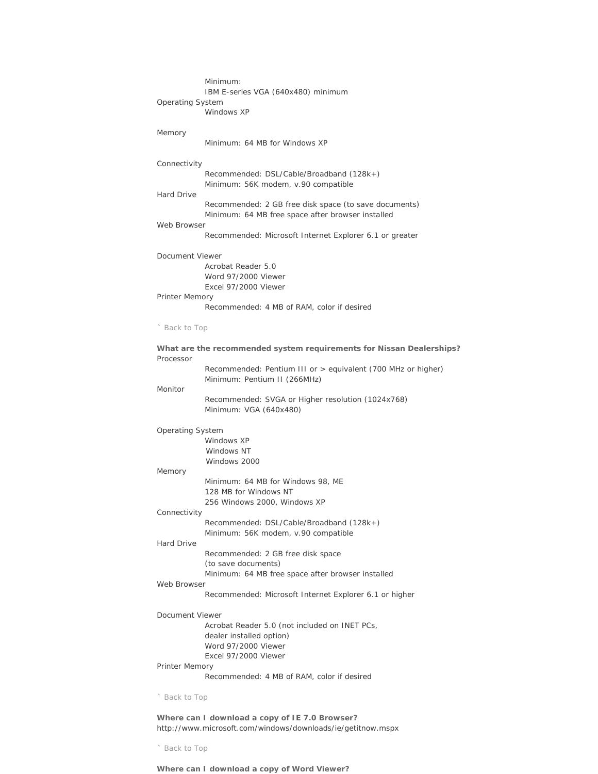Minimum: IBM E-series VGA (640x480) minimum Operating System Windows XP Memory Minimum: 64 MB for Windows XP Connectivity Recommended: DSL/Cable/Broadband (128k+) Minimum: 56K modem, v.90 compatible Hard Drive Recommended: 2 GB free disk space (to save documents) Minimum: 64 MB free space after browser installed Web Browser Recommended: Microsoft Internet Explorer 6.1 or greater Document Viewer Acrobat Reader 5.0 Word 97/2000 Viewer Excel 97/2000 Viewer Printer Memory Recommended: 4 MB of RAM, color if desired ˆ Back to Top **What are the recommended system requirements for Nissan Dealerships?** Processor Recommended: Pentium III or > equivalent (700 MHz or higher) Minimum: Pentium II (266MHz) Monitor Recommended: SVGA or Higher resolution (1024x768) Minimum: VGA (640x480) Operating System Windows XP Windows NT Windows 2000 Memory Minimum: 64 MB for Windows 98, ME 128 MB for Windows NT 256 Windows 2000, Windows XP Connectivity Recommended: DSL/Cable/Broadband (128k+) Minimum: 56K modem, v.90 compatible Hard Drive Recommended: 2 GB free disk space (to save documents) Minimum: 64 MB free space after browser installed Web Browser Recommended: Microsoft Internet Explorer 6.1 or higher Document Viewer Acrobat Reader 5.0 (not included on INET PCs, dealer installed option) Word 97/2000 Viewer Excel 97/2000 Viewer Printer Memory Recommended: 4 MB of RAM, color if desired ˆ Back to Top

**Where can I download a copy of IE 7.0 Browser?** http://www.microsoft.com/windows/downloads/ie/getitnow.mspx

ˆ Back to Top

#### **Where can I download a copy of Word Viewer?**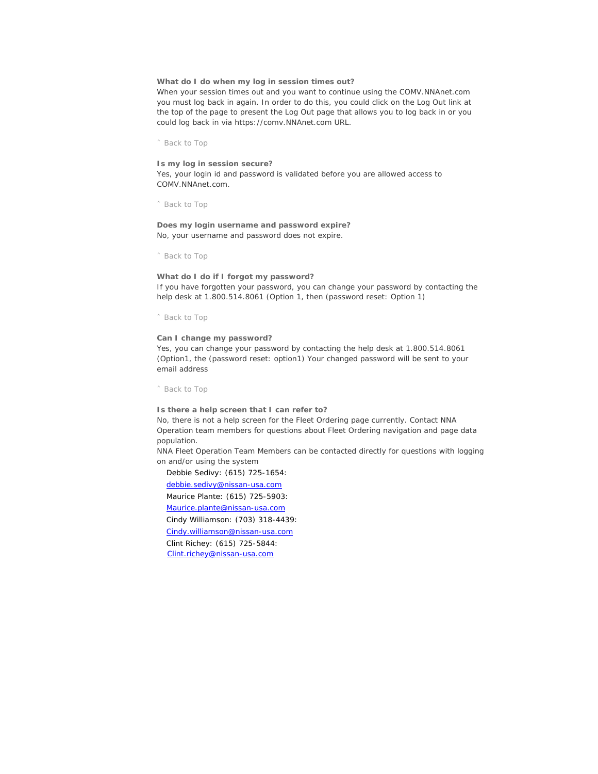**What do I do when my log in session times out?**

When your session times out and you want to continue using the COMV.NNAnet.com you must log back in again. In order to do this, you could click on the Log Out link at the top of the page to present the Log Out page that allows you to log back in or you could log back in via https://comv.NNAnet.com URL.

ˆ Back to Top

### **Is my log in session secure?**

Yes, your login id and password is validated before you are allowed access to COMV.NNAnet.com.

ˆ Back to Top

**Does my login username and password expire?** No, your username and password does not expire.

ˆ Back to Top

**What do I do if I forgot my password?** If you have forgotten your password, you can change your password by contacting the help desk at 1.800.514.8061 (Option 1, then (password reset: Option 1)

ˆ Back to Top

## **Can I change my password?**

Yes, you can change your password by contacting the help desk at 1.800.514.8061 (Option1, the (password reset: option1) Your changed password will be sent to your email address

ˆ Back to Top

**Is there a help screen that I can refer to?**

No, there is not a help screen for the Fleet Ordering page currently. Contact NNA Operation team members for questions about Fleet Ordering navigation and page data population.

NNA Fleet Operation Team Members can be contacted directly for questions with logging on and/or using the system

 Debbie Sedivy: (615) 725-1654: debbie.sedivy@nissan-usa.com Maurice Plante: (615) 725-5903: Maurice.plante@nissan-usa.com Cindy Williamson: (703) 318-4439: Cindy.williamson@nissan-usa.com Clint Richey: (615) 725-5844: Clint.richey@nissan-usa.com